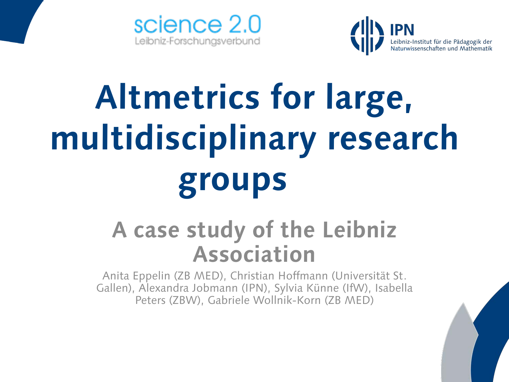



## **Altmetrics for large, multidisciplinary research groups**

## **A case study of the Leibniz Association**

Anita Eppelin (ZB MED), Christian Hoffmann (Universität St. Gallen), Alexandra Jobmann (IPN), Sylvia Künne (IfW), Isabella Peters (ZBW), Gabriele Wollnik-Korn (ZB MED)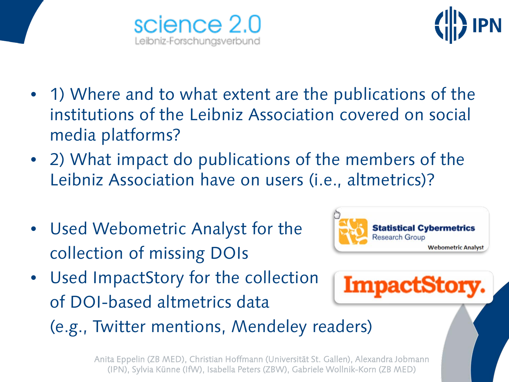



- 1) Where and to what extent are the publications of the institutions of the Leibniz Association covered on social media platforms?
- 2) What impact do publications of the members of the Leibniz Association have on users (i.e., altmetrics)?
- Used Webometric Analyst for the collection of missing DOIs



• Used ImpactStory for the collection of DOI-based altmetrics data



(e.g., Twitter mentions, Mendeley readers)

Anita Eppelin (ZB MED), Christian Hoffmann (Universität St. Gallen), Alexandra Jobmann (IPN), Sylvia Künne (IfW), Isabella Peters (ZBW), Gabriele Wollnik-Korn (ZB MED)